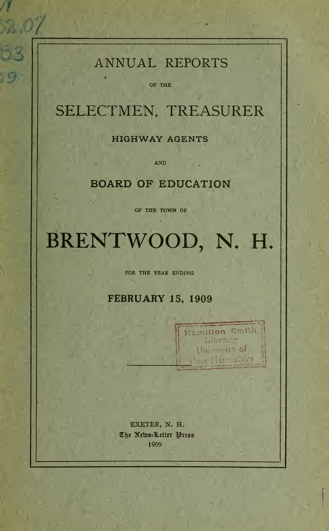### **ANNUAL REPORTS**

 $\mathcal{P}_\ell(\mathcal{O})$ 

 $\epsilon$ 

OF THE

# SELECTMEN, TREASURER

#### **HIGHWAY AGENTS**

AND

### **BOARD OF EDUCATION**

OF THE TOWN OF

# BRENTWOOD, N. H.

FOR THE YEAR ENDING

### **FEBRUARY 15, 1909**

**Hamilton Smith** Library University of rlow Ham shire

EXETER, N. H. The News-Letter Press 1909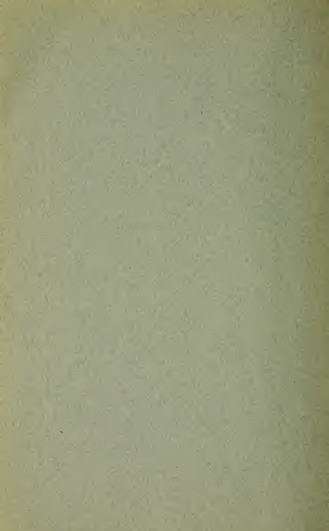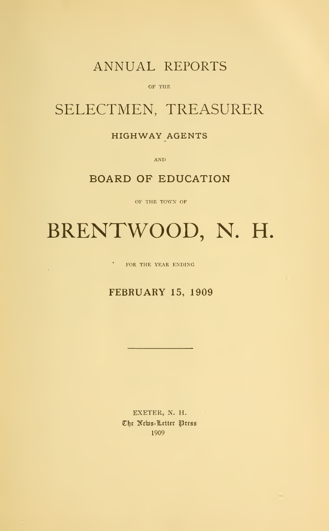### **ANNUAL REPORTS**

#### OF THE

# SELECTMEN, TREASURER

#### HIGHWAY AGENTS

 $AND$ 

### **BOARD OF EDUCATION**

OF THE TOWN OF

# BRENTWOOD, N. H.

FOR THE YEAR ENDING

 $\bullet$ 

 $\mathcal{L}^{\pm}$ 

### **FEBRUARY 15, 1909**

EXETER, N. H. The News-Letter Press 1909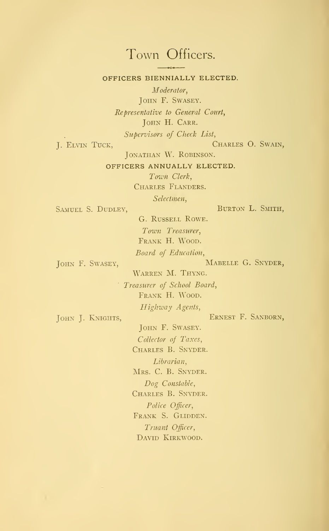# Town Officers.

#### OFFICERS BIENNIALLY ELECTED.

Moderator,

JOHN F. SWASEY. Representative to General Court, JOHN H. CARR.

Supervisors of Check List,

J. ELVIN TUCK, CHARLES O. SWAIN,

JONATHAN W. ROBINSON.

OFFICERS ANNUALLY ELECTED.

Town Clerk, CHARLES FLANDERS.

Selectmen,

SAMUEL S. DUDLEY, BURTON L. SMITH,

G. Russell Rowe. Town Treasurer, Frank H. Wood. Board of Education,

JOHN F. SWASEY, MABELLE G. SNYDER,

Warren M. Thyng.

Treasurer of School Board, Frank H. Wood. Highway Agents,

JOHN J. KNIGHTS, ERNEST F. SANBORN,

JOHN F. SWASEY. Collector of Taxes, Charles B. Snyder. Librarian, Mrs. C. B. Snyder. Dog Constable, CHARLES B. SNYDER. Police Officer, Frank S. Glidden. Truant Officer, David Kirkwood.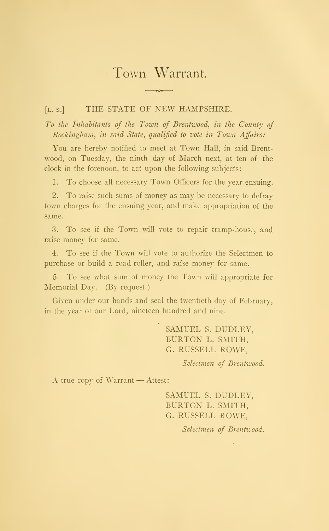## Town Warrant.

#### [l. s.] THE STATE OF NEW HAMPSHIRE.

To the Inhabitants of the Town of Brentwood, in the County of Rockingham, in said State, qualified to vote in Town Affairs:

You are hereby notified to meet at Town Hall, in said Brent wood, on Tuesday, the ninth day of March next, at ten of the clock in the forenoon, to act upon the following subjects:

1. To choose all necessary Town Officers for the year ensuing.

2. To raise such sums of money as may be necessary to defray town charges for the ensuing year, and make appropriation of the same.

3. To see if the Town will vote to repair tramp-house, and raise money for same.

4. To see if the Town will vote to authorize the Selectmen to purchase or build a road-roller, and raise money for same.

5. To see what sum of money the Town will appropriate for Memorial Day. (By request.)

Given under our hands and seal the twentieth day of February, in the year of our Lord, nineteen hundred and nine.

> SAMUEL S. DUDLEY, BURTON L.SMITH, G. RUSSELL ROWE,

> > Selectmen of Brentwood.

<sup>A</sup> true copy of Warrant — Attest

SAMUEL S. DUDLEY, BURTON L.SMITH, G. RUSSELL ROWE, Selectmen of Brentwood.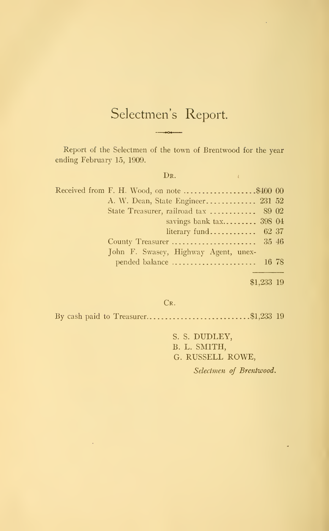# Selectmen's Report.

للمستعمل

Report of the Selectmen of the town of Brentwood for the year ending February 15, 1909.

#### $\mathbf{D}\mathbf{R}$ , where  $\mathbf{R}$

| Received from F. H. Wood, on note \$400 00                                          |  |
|-------------------------------------------------------------------------------------|--|
| A. W. Dean, State Engineer 231 52                                                   |  |
| State Treasurer, railroad tax  89 02                                                |  |
| savings bank tax 398 04                                                             |  |
| literary fund 62 37                                                                 |  |
|                                                                                     |  |
| John F. Swasey, Highway Agent, unex-                                                |  |
| pended balance $\dots \dots \dots \dots \dots \dots \dots \dots \dots \quad 16\;78$ |  |
|                                                                                     |  |

\$1,233 19

ä

à,

#### C<sub>R</sub>.

By cash paid to Treasurer................................\$1,233 19

l,

S. S. DUDLEY, B. L. SMITH, G. RUSSELL ROWE,

Selectmen of Brentwood.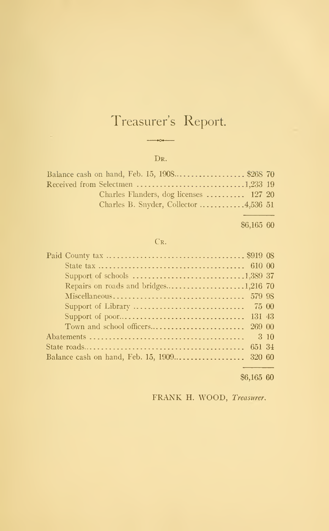# Treasurer's Report.

#### D<sub>R</sub>.

 $\longrightarrow \infty$ 

| Balance cash on hand, Feb. 15, 1908\$268 70 |  |
|---------------------------------------------|--|
|                                             |  |
| Charles Flanders, dog licenses  127 20      |  |
| Charles B. Snyder, Collector 4,536 51       |  |

\$6,165 60

#### C<sub>R</sub>.

|  | $-310$ |  |
|--|--------|--|
|  |        |  |
|  |        |  |
|  |        |  |

\$6,165 60

FRANK H. WOOD, Treasurer.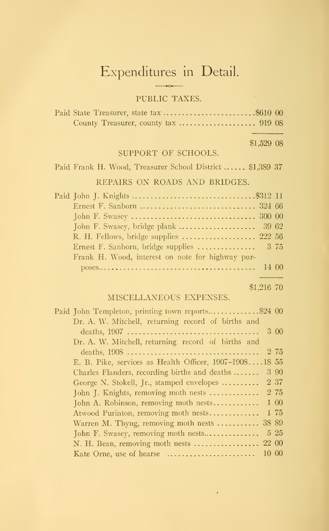### Expenditures in Detail.  $\longrightarrow$

### PUBLIC TAXES.

| \$1,529 08                                                |       |
|-----------------------------------------------------------|-------|
| SUPPORT OF SCHOOLS.                                       |       |
| Paid Frank H. Wood, Treasurer School District  \$1,389 37 |       |
| REPAIRS ON ROADS AND BRIDGES.                             |       |
|                                                           |       |
|                                                           |       |
|                                                           |       |
|                                                           |       |
| R. H. Fellows, bridge supplies  222 56                    |       |
| Ernest F. Sanborn, bridge supplies                        | 3 75  |
| Frank H. Wood, interest on note for highway pur-          | 14 00 |
| $$1,216$ 70                                               |       |
| MISCELLANEOUS EXPENSES.                                   |       |
| Paid John Templeton, printing town reports\$24 00         |       |
| Dr. A. W. Mitchell, returning record of births and        |       |
|                                                           | 3 00  |
| Dr. A. W. Mitchell, returning record of births and        |       |
|                                                           | 2 75  |
| E. B. Pike, services as Health Officer, 1907-190818 55    |       |
| Charles Flanders, recording births and deaths             | 3 90  |
| George N. Stokell, Jr., stamped envelopes                 | 2 37  |
| John J. Knights, removing moth nests                      | 2 75  |
| John A. Robinson, removing moth nests                     | 1 00  |
| Atwood Purinton, removing moth nests                      | 1 75  |
| Warren M. Thyng, removing moth nests                      | 38 89 |
| John F. Swasey, removing moth nests                       | 5 25  |
| N. H. Bean, removing moth nests                           | 22 00 |
| Kate Orne, use of hearse                                  | 10 00 |

 $\mathcal{A}^{\mathrm{c}}$  .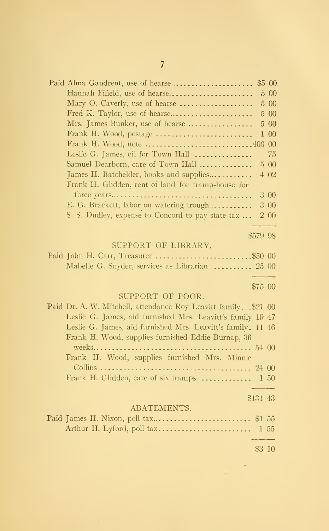| Paid Alma Gaudrent, use of hearse                             | \$5 00  |
|---------------------------------------------------------------|---------|
| Hannah Fifield, use of hearse                                 | 5 00    |
| Mary O. Caverly, use of hearse                                | 5 00    |
| Fred K. Taylor, use of hearse                                 | 5 00    |
| Mrs. James Bunker, use of hearse                              | 5 00    |
| Frank H. Wood, postage                                        | 1 00    |
| Frank H. Wood, note 400 00                                    |         |
| Leslie G. James, oil for Town Hall                            | 75      |
| Samuel Dearborn, care of Town Hall                            | 5 00    |
| James H. Batchelder, books and supplies                       | 4 02    |
| Frank H. Glidden, rent of land for tramp-house for            |         |
|                                                               | 3 00    |
| E. G. Brackett, labor on watering trough                      | 3 00    |
| S. S. Dudley, expense to Concord to pay state tax             | 2 00    |
|                                                               |         |
| \$579 98                                                      |         |
| SUPPORT OF LIBRARY.                                           |         |
| Paid John H. Carr, Treasurer \$50 00                          |         |
| Mabelle G. Snyder, services as Librarian  25 00               |         |
|                                                               |         |
|                                                               | \$75 00 |
| SUPPORT OF POOR.                                              |         |
| Paid Dr. A. W. Mitchell, attendance Roy Leavitt family\$21 00 |         |
| Leslie G. James, aid furnished Mrs. Leavitt's family 19 47    |         |
| Leslie G. James, aid furnished Mrs. Leavitt's family. 11 46   |         |
| Frank H. Wood, supplies furnished Eddie Burnap, 36            |         |
|                                                               |         |
| Frank H. Wood, supplies furnished Mrs. Minnie                 |         |
|                                                               |         |
| Frank H. Glidden, care of six tramps  1 50                    |         |
|                                                               |         |
| \$131 43                                                      |         |
| ABATEMENTS.                                                   |         |
|                                                               |         |
|                                                               |         |
|                                                               |         |
|                                                               | \$3 10  |

ł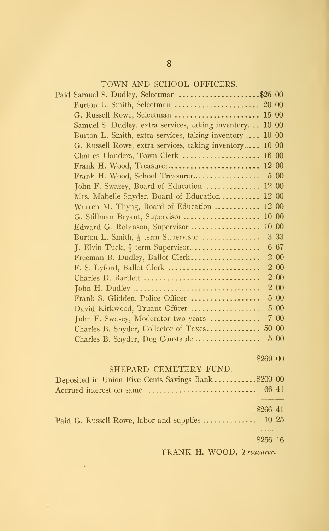#### TOWN AND SCHOOL OFFICERS.

| Paid Samuel S. Dudley, Selectman \$25 00           |          |       |
|----------------------------------------------------|----------|-------|
| Burton L. Smith, Selectman  20 00                  |          |       |
| G. Russell Rowe, Selectman  15 00                  |          |       |
| Samuel S. Dudley, extra services, taking inventory | 10 00    |       |
| Burton L. Smith, extra services, taking inventory  | 10 00    |       |
| G. Russell Rowe, extra services, taking inventory  |          | 10 00 |
| Charles Flanders, Town Clerk                       |          | 16 00 |
| Frank H. Wood, Treasurer                           | 12 00    |       |
| Frank H. Wood, School Treasurer                    |          | 5 00  |
| John F. Swasey, Board of Education                 | 12 00    |       |
| Mrs. Mabelle Snyder, Board of Education            | 12 00    |       |
| Warren M. Thyng, Board of Education  12 00         |          |       |
| G. Stillman Bryant, Supervisor  10 00              |          |       |
| Edward G. Robinson, Supervisor                     |          | 10 00 |
| Burton L. Smith, $\frac{1}{3}$ term Supervisor     |          | 3 3 3 |
| J. Elvin Tuck, $\frac{2}{3}$ term Supervisor       |          | 6 67  |
| Freeman B. Dudley, Ballot Clerk                    |          | 2 00  |
| F. S. Lyford, Ballot Clerk                         |          | 2 00  |
| Charles D. Bartlett                                |          | 2 00  |
|                                                    |          | 2 00  |
| Frank S. Glidden, Police Officer                   |          | 5 00  |
| David Kirkwood, Truant Officer                     |          | 5 00  |
| John F. Swasey, Moderator two years                |          | 7 00  |
| Charles B. Snyder, Collector of Taxes              |          | 50 00 |
| Charles B. Snyder, Dog Constable                   |          | 5 00  |
|                                                    | \$269 00 |       |
| SHEPARD CEMETERY FUND.                             |          |       |
| Deposited in Union Five Cents Savings Bank\$200 00 |          |       |
|                                                    | 66 41    |       |
|                                                    | \$266 41 |       |
| Paid G. Russell Rowe, labor and supplies           |          | 10 25 |
|                                                    | \$256 16 |       |
| FRANK H. WOOD, Treasurer.                          |          |       |

 $\sim 10^{-1}$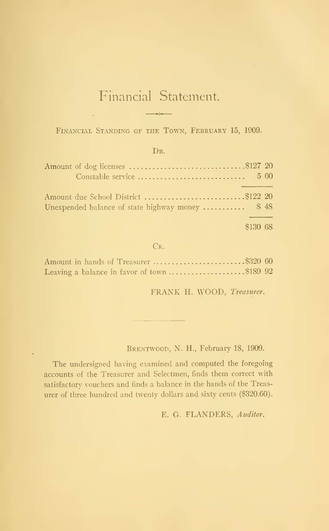### Financial Statement.  $\bullet$

Financial Standing of the Town, February 15, 1909.

#### D<sub>R</sub>.

|                                                 |          | 5 00 |
|-------------------------------------------------|----------|------|
| Amount due School District \$122 20             |          |      |
| Unexpended balance of state highway money  8 48 |          |      |
|                                                 |          |      |
|                                                 | \$130 68 |      |

Cr.

|  |  | Amount in hands of Treasurer \$320 60       |  |  |  |  |
|--|--|---------------------------------------------|--|--|--|--|
|  |  | Leaving a balance in favor of town \$189 92 |  |  |  |  |

FRANK H. WOOD, Treasurer.

Brentwood, N. H., February 18, 1909.

The undersigned having examined and computed the foregoing accounts of the Treasurer and Selectmen, finds them correct with satisfactory vouchers and finds a balance in the hands of the Treasurer of three hundred and twenty dollars and sixty cents (\$320.60).

E. G. FLANDERS, Auditor.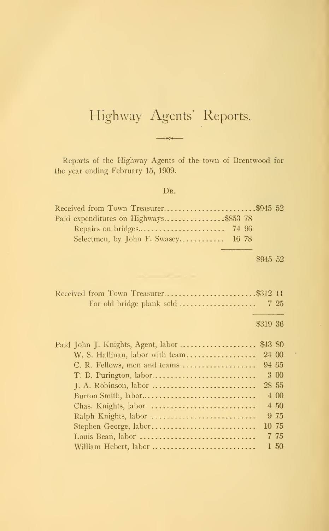# Highway Agents' Reports.

 $\overline{\bullet}$ 

Reports of the Highway Agents of the town of Brentwood for the year ending February 15, 1909.

#### Dr.

| Received from Town Treasurer\$945 52  |  |
|---------------------------------------|--|
| Paid expenditures on Highways\$853 78 |  |
|                                       |  |
| Selectmen, by John F. Swasey 16 78    |  |

\$945 52

| For old bridge plank sold          |          | 7 25  |
|------------------------------------|----------|-------|
|                                    | \$319 36 |       |
| Paid John J. Knights, Agent, labor | \$43 80  |       |
| W. S. Hallinan, labor with team    |          | 24 00 |
| C. R. Fellows, men and teams       |          | 94 65 |
| T. B. Purington, labor             |          | 3 00  |
| J. A. Robinson, labor              |          | 28 55 |
| Burton Smith, labor                |          | 4 00  |
| Chas. Knights, labor               |          | 4 50  |
| Ralph Knights, labor               |          | 975   |
| Stephen George, labor              |          | 10 75 |
| Louis Bean, labor                  |          | 7 75  |
| William Hebert, labor              |          | 1,50  |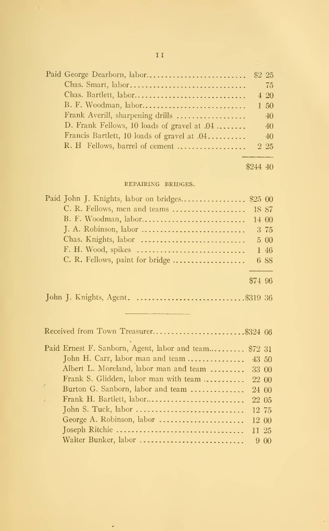|                                             | 75   |
|---------------------------------------------|------|
| Chas. Bartlett, labor                       | 420  |
| B. F. Woodman, labor                        | 1,50 |
| Frank Averill, sharpening drills            | 40   |
| D. Frank Fellows, 10 loads of gravel at .04 | 40   |
| Francis Bartlett, 10 loads of gravel at .04 | 40   |
| R. H Fellows, barrel of cement              | 2 25 |
|                                             |      |

\$244 40

#### REPAIRING BRIDGES.

| Paid John J. Knights, labor on bridges\$25 00 |         |      |
|-----------------------------------------------|---------|------|
| C. R. Fellows, men and teams                  | 18 87   |      |
| B. F. Woodman, labor                          | 14 00   |      |
| J. A. Robinson, labor                         |         | 3 75 |
| Chas. Knights, labor                          |         | 5 00 |
| F. H. Wood, spikes                            |         | 1 46 |
| C. R. Fellows, paint for bridge               | 6 88    |      |
|                                               | \$74 96 |      |
|                                               |         |      |

| Received from Town Treasurer\$324 66                  |       |      |
|-------------------------------------------------------|-------|------|
| Paid Ernest F. Sanborn, Agent, labor and team \$72 31 |       |      |
|                                                       |       |      |
| Albert L. Moreland, labor man and team  33 00         |       |      |
| Frank S. Glidden, labor man with team  22 00          |       |      |
| ř.<br>Burton G. Sanborn, labor and team  24 00        |       |      |
| g.                                                    |       |      |
|                                                       | 12 75 |      |
| George A. Robinson, labor                             | 12 00 |      |
|                                                       |       |      |
| Walter Bunker, labor                                  |       | 9 00 |

 $\epsilon$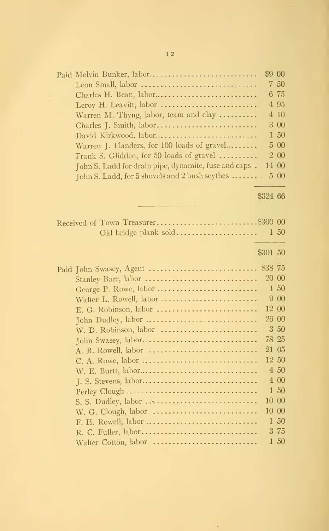| Paid Melvin Bunker, labor                              | \$9 00   |       |
|--------------------------------------------------------|----------|-------|
| Leon Small, labor                                      |          | 7 50  |
| Charles H. Bean, labor                                 |          | 6 75  |
| Leroy H. Leavitt, labor                                |          | 4 95  |
| Warren M. Thyng, labor, team and clay                  |          | 4 10  |
| Charles J. Smith, labor                                |          | 3 00  |
| David Kirkwood, labor                                  |          | 1 50  |
| Warren J. Flanders, for 100 loads of gravel            |          | 5 00  |
| Frank S. Glidden, for 50 loads of gravel               |          | 2 00  |
| John S. Ladd for drain pipe, dynamite, fuse and caps . |          | 14 00 |
| John S. Ladd, for 5 shovels and 2 bush scythes         |          | 5 00  |
|                                                        |          |       |
|                                                        | \$324 66 |       |
|                                                        |          |       |
|                                                        |          |       |
| Received of Town Treasurer\$300 00                     |          |       |
|                                                        |          |       |
|                                                        |          |       |
|                                                        | \$301 50 |       |
| Paid John Swasey, Agent                                | \$38 75  |       |
| Stanley Barr, labor                                    |          | 20 00 |
| George P. Rowe, labor                                  |          | 1 50  |
| Walter L. Rowell, labor                                |          | 900   |
| E. G. Robinson, labor                                  |          | 12 00 |
| John Dudley, labor                                     |          | 26 00 |
| W. D. Robinson, labor                                  |          | 3,50  |
| John Swasey, labor                                     |          | 78 25 |
| A. B. Rowell, labor                                    |          | 21 05 |
| C. A. Rowe, labor                                      |          | 12 50 |
| W. E. Burtt, labor                                     |          | 4 50  |
| J. S. Stevens, labor                                   |          | 4 0 0 |
|                                                        |          | 150   |
| S. S. Dudley, labor                                    |          | 10 00 |
| W. G. Clough, labor                                    |          | 10 00 |
| F. H. Rowell, labor                                    |          | 1 50  |
| R. C. Fuller, labor                                    |          | 3 75  |
|                                                        |          | 1 50  |
| Walter Cotton, labor                                   |          |       |

 $\hat{\boldsymbol{\gamma}}$ 

à,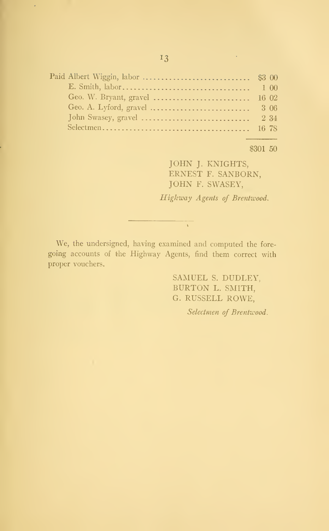\$301 50

JOHN J. KNIGHTS, ERNEST F. SANBORN, JOHN F. SWASEY, Highway Agents of Brentwood.

 $\bar{\gamma}$ 

We, the undersigned, having examined and computed the fore going accounts of the Highway Agents, find them correct with proper vouchers.

 $\chi$ 

SAMUEL S. DUDLEY, BURTON L.SMITH, G. RUSSELL ROWE,

Selectmen of Brentwood.

 $\epsilon$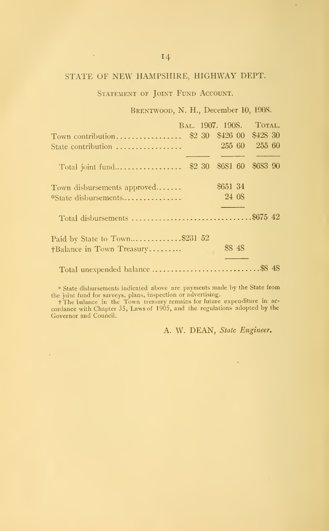### STATE OF NEW HAMPSHIRE, HIGHWAY DEPT.

#### STATEMENT OF JOINT FUND ACCOUNT.

### Brentwood, N. H., December 10, 1908.

k

|                               | BAL. 1907. 1908. |              | TOTAL.   |  |
|-------------------------------|------------------|--------------|----------|--|
|                               |                  |              | \$428 30 |  |
| State contribution            |                  | 255 60       | 255 60   |  |
|                               |                  |              | \$683 90 |  |
| Town disbursements approved   |                  | \$651 34     |          |  |
| *State disbursements          |                  | 24 08        |          |  |
|                               |                  |              |          |  |
| Paid by State to Town\$231 52 |                  |              |          |  |
| †Balance in Town Treasury     |                  | <b>SS 4S</b> |          |  |
|                               |                  |              |          |  |

\* State disbursements indicated above are payments made by the State from

the joint fund for surveys, plans, inspection or advertising.<br>† The balance in the Town treasury remains for future expenditure in ac-<br>cordance with Chapter 35, Laws of 1905, and the regulations adopted by the Governor and Council.

A. W. DEAN, State Engineer.

 $\alpha$ 

 $\sim 10^{-1}$ 

 $\bar{\nu}$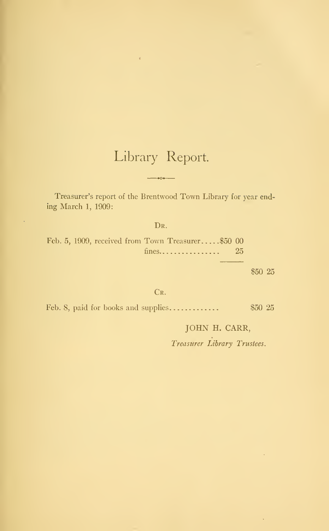# Library Report.

 $\rightarrow$ 

 $\vec{6}$ 

Treasurer's report of the Brentwood Town Library for year ending March 1, 1909:

D<sub>R</sub>.

Feb. 5, 1909, received from Town Treasurer..... $$50$  00  ${\rm fines.} \ldots \ldots \ldots \ldots \ldots 25$ 

à,

\$50 25

 $\bar{\mathbf{r}}$ 

#### C<sub>R</sub>.

Feb. 8, paid for books and supplies  $\ldots$   $\ldots$   $\ldots$  \$50 25

JOHN H. CARR,

Treasurer Library Trustees.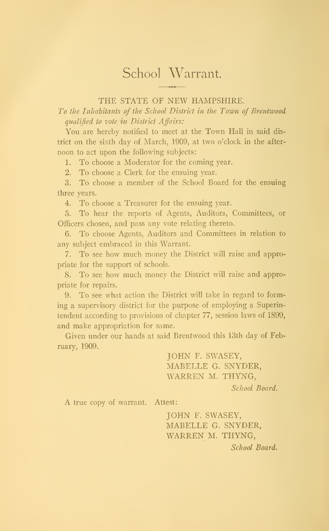## School Warrant.

#### THE STATE OF NEW HAMPSHIRE.

To the Inhabitants of the School District in the Town of Brentwood qualified to vote in District Affairs:

You are hereby notified to meet at the Town Hall in said district on the sixth day of March, 1909, at two o'clock in the after noon to act upon the following subjects:

1. To choose a Moderator for the coming year.

2. To choose a Clerk for the ensuing year.

3. To choose a member of the School Board for the ensuing three years.

4. To choose a Treasurer for the ensuing year.

5. To hear the reports of Agents, Auditors, Committees, or Officers chosen, and pass any vote relating thereto.

6. To choose Agents, Auditors and Committees in relation to any subject embraced in this Warrant.

7. To see how much money the District will raise and appropriate for the support of schools.

8. To see how much money the District will raise and appropriate for repairs.

9. To see what action the District will take in regard to forming a supervisory district for the purpose of employing a Superin tendent according to provisions of chapter 77, session laws of 1899, and make appropriation for same.

Given under our hands at said Brentwood this 13th day of February, 1909.

> JOHN F. SWASEY, MABELLE G. SNYDER, WARREN M. THYNG, School Board.

A true copy of warrant. Attest:

JOHN F. SWASEY, MABELLE G. SNYDER, WARREN M. THYNG, School Board.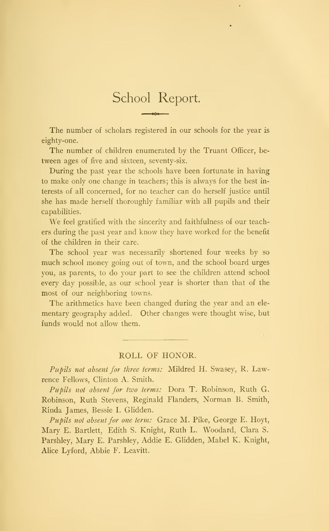## School Report.

The number of scholars registered in our schools for the year is eighty-one.

The number of children enumerated by the Truant Officer, be tween ages of five and sixteen, seventy-six.

During the past year the schools have been fortunate in having to make only one change in teachers; this is always for the best in terests of all concerned, for no teacher can do herself justice until she has made herself thoroughly familiar with all pupils and their capabilities.

We feel gratified with the sincerity and faithfulness of our teachers during the past year and know they have worked for the benefit of the children in their care.

The school year was necessarily shortened four weeks by so much school money going out of town, and the school board urges you, as parents, to do your part to see the children attend school every day possible, as our school year is shorter than that of the most of our neighboring towns.

The arithmetics have been changed during the year and an ele mentary geography added. Other changes were thought wise, but funds would not allow them.

#### ROLL OF HONOR.

Pupils not absent for three terms: Mildred H. Swasey, R. Lawrence Fellows, Clinton A. Smith.

Pupils not absent for two terms: Dora T. Robinson, Ruth G. Robinson, Ruth Stevens, Reginald Flanders, Norman B. Smith, Rinda James, Bessie I. Glidden.

Pupils not absent for one term: Grace M. Pike, George E. Hoyt, Mary E. Bartlett, Edith S. Knight, Ruth L. Woodard, Clara S. Parshley, Mary E. Parshley, Addie E. Glidden, Mabel K. Knight, Alice Lyford, Abbie F. Leavitt.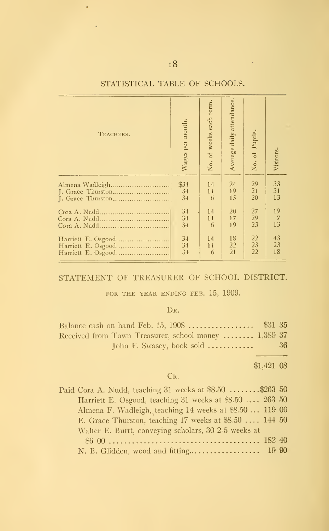| TEACHERS.          | per month.<br>Wages <sup>1</sup> | term<br>each<br>weeks<br>$\overline{\sigma}$<br>ż. | Average daily attendance. | Pupils.<br>$\delta$<br>Ż. | Visitors.      |
|--------------------|----------------------------------|----------------------------------------------------|---------------------------|---------------------------|----------------|
| Almena Wadleigh    | \$34                             | 14                                                 | 24                        | 29                        | 33             |
| J. Grace Thurston  | 34                               | $\mathbf{11}$                                      | 19                        | 21                        | 31             |
|                    | 34                               | 6                                                  | 15                        | 20                        | 13             |
|                    | 34                               | 14                                                 | 20                        | 27                        | 19             |
|                    | 34                               | $\overline{11}$                                    | 17                        | 29                        | $\overline{7}$ |
|                    | 34                               | 6                                                  | 19                        | 23                        | 13             |
| Harriett E. Osgood | 34                               | 14                                                 | 18                        | 22                        | 43             |
| Harriett E. Osgood | 34                               | 11                                                 | 22                        | 23                        | 23             |
| Harriett E. Osgood | 34                               | 6                                                  | 21                        | 22                        | 18             |

#### STATISTICAL TABLE OF SCHOOLS.

#### STATEMENT OF TREASURER OF SCHOOL DISTRICT.

FOR THE YEAR ENDING FEB. 15, 1909.

### D<sub>R</sub>.

| Balance cash on hand Feb. 15, 1908                   | \$31 35 |  |
|------------------------------------------------------|---------|--|
| Received from Town Treasurer, school money  1,389 37 |         |  |
|                                                      |         |  |

 $$1,421$  08

#### $C_{R}$ .

| Paid Cora A. Nudd, teaching 31 weeks at $$8.50$ \$263 50 |
|----------------------------------------------------------|
| Harriett E. Osgood, teaching 31 weeks at \$8.50  263 50  |
| Almena F. Wadleigh, teaching 14 weeks at \$8.50  119 00  |
| E. Grace Thurston, teaching 17 weeks at \$8.50  144 50   |
|                                                          |
|                                                          |
|                                                          |
| Walter E. Burtt, conveying scholars, 30 2-5 weeks at     |

 $\sim$ 

×

 $\ddot{\phantom{1}}$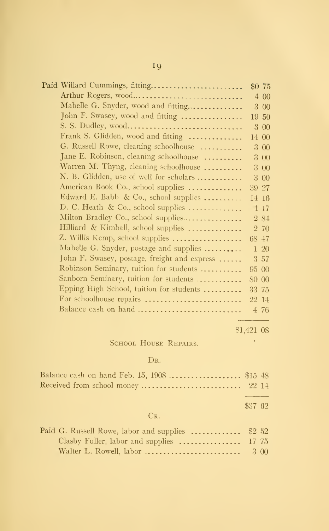| Paid Willard Cummings, fitting               | \$075  |  |
|----------------------------------------------|--------|--|
| Arthur Rogers, wood                          | 4 0 0  |  |
| Mabelle G. Snyder, wood and fitting          | 3 00   |  |
| John F. Swasey, wood and fitting             | 19 50  |  |
| S. S. Dudley, wood                           | 3 00   |  |
| Frank S. Glidden, wood and fitting           | 14 00  |  |
| G. Russell Rowe, cleaning schoolhouse        | 3 00   |  |
| Jane E. Robinson, cleaning schoolhouse       | 3 00   |  |
| Warren M. Thyng, cleaning schoolhouse        | 3 00   |  |
| N. B. Glidden, use of well for scholars      | 3 00   |  |
| American Book Co., school supplies           | 39 27  |  |
| Edward E. Babb & Co., school supplies        | 14 16  |  |
| D. C. Heath & Co., school supplies           | $-117$ |  |
| Milton Bradley Co., school supplies          | 2 84   |  |
| Hilliard & Kimball, school supplies          | 2 70   |  |
| Z. Willis Kemp, school supplies              | 68 47  |  |
| Mabelle G. Snyder, postage and supplies      | 1 20   |  |
| John F. Swasey, postage, freight and express | 3 57   |  |
| Robinson Seminary, tuition for students      | 95 00  |  |
| Sanborn Seminary, tuition for students       | 80 00  |  |
| Epping High School, tuition for students     | 33 75  |  |
| For schoolhouse repairs                      | 22 14  |  |
| Balance cash on hand                         | 4 76   |  |
|                                              |        |  |

#### \$1,421 08  $\sim$   $\alpha$

### SCHOOL HOUSE REPAIRS.

#### D<sub>R</sub>.

| Balance cash on hand Feb. 15, 1908  \$15 48      |         |  |
|--------------------------------------------------|---------|--|
|                                                  |         |  |
|                                                  | \$37 62 |  |
| CR.                                              |         |  |
| Paid G. Russell Rowe, labor and supplies  \$2 52 |         |  |
| Clasby Fuller, labor and supplies  17 75         |         |  |
|                                                  |         |  |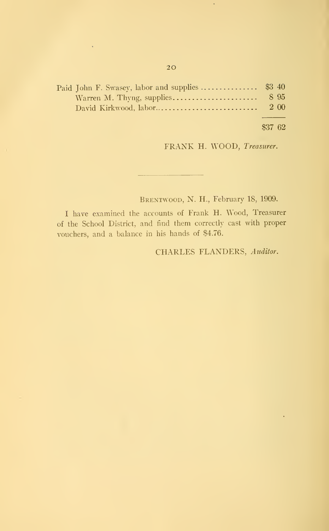| 2 00 |  |
|------|--|

\$37 62

FRANK H. WOOD, Treasurer.

Brentwood, N. H., February 18, 1909.

<sup>I</sup> have examined the accounts of Frank H. Wood, Treasurer of the School District, and find them correctly cast with proper vouchers, and a balance in his hands of \$4.76.

CHARLES FLANDERS, Auditor.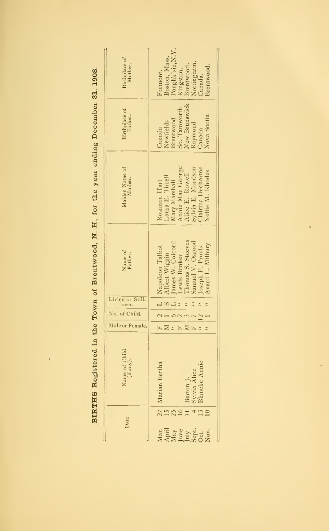| Birthplace of<br>Mother.   | Boston, Mass.<br>Poughk'sie,N.Y<br>Kingston.<br>Brentwood.<br>Nottingham.<br>Nottingham.<br>remont.<br><i>s</i> rentwood                                   |
|----------------------------|------------------------------------------------------------------------------------------------------------------------------------------------------------|
| 3irthplace of<br>Father.   | Brentwood<br>So. Tamworth<br>New Brunswick<br>Raymond<br>Canada<br>Jova Scotia<br>lewfields<br>Canada                                                      |
| Maiden Name of<br>Mother.  | Laura E. Tirtell<br>Mary Marshall<br>Annie Mae George<br>Sylvia E. Morrison<br>Sylvia E. Morrison<br>Clairina Decharme<br>Vellie M. Rhodes<br>Rosanna Hart |
| Name of<br>Father.         | Thomas S. Steeves<br>Samuel V. Osgood<br>oseph F. Proulx<br>Albert Wiggin<br>James W. Colcord<br>Lewis Bunker<br>Avard L. Milbury<br>Vapoleon Talbot       |
|                            | $\overline{\phantom{a}}$<br>$\frac{1}{2}$                                                                                                                  |
|                            |                                                                                                                                                            |
| Male or Female             |                                                                                                                                                            |
| Name of Child<br>(if any). | Marian Bertha<br>Berton J.<br>Sylvia Alice                                                                                                                 |
| Date                       | Mari<br>April<br>Ang Piny<br>Ang Soci.<br>Nov.<br>Nov.                                                                                                     |

BIRTHS Registered in the Town of Brentwood, N. H., for the year ending December 31, 1908.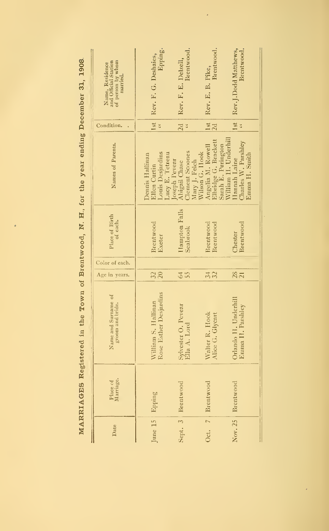| Name, Residence<br>and Official Station<br>of person by whom |                                 | Epping<br>Rev. F. G. Deshaies,      |               | Rev. F. E. Delzell,  | Brentwood                        |                | Rev. E. B. Pike,<br>Brentwood |                                                                                         | Rev. J.Dodd Matthews. | Brentwood                            |
|--------------------------------------------------------------|---------------------------------|-------------------------------------|---------------|----------------------|----------------------------------|----------------|-------------------------------|-----------------------------------------------------------------------------------------|-----------------------|--------------------------------------|
| Condition.                                                   |                                 | isi<br>si                           |               | 2d                   |                                  |                | Ist<br>2d                     |                                                                                         | 1 <sub>st</sub>       | $\ddot{\phantom{0}}$                 |
| Names of Parents.                                            | Dennis Hallinan<br>Ellen Curtin | Louis Desjardins<br>Lucy E. Tetreau | Joseph Pevear | Abigail Chase        | Clement Scoones<br>Mary J. Felch | Wilson G. Hook |                               | Angelia M. Rowell<br>Elbridge G. Brackett<br>Sarah E. Purington<br>William H. Underhill | Hannah Laine          | Charles W. Parshley<br>Emma H. Smith |
| Place of Birth<br>of each.                                   | Brentwood                       | Exeter                              |               | <b>Hampton Falls</b> | Seabrook                         |                | Brentwood                     | Brentwood                                                                               | Chester               | Brentwood                            |
| Color of each.                                               |                                 |                                     |               |                      |                                  |                |                               |                                                                                         |                       |                                      |
| Age in                                                       | 32                              | 20                                  |               | 64                   | 55                               |                | 32<br>34                      |                                                                                         | $\frac{28}{21}$       |                                      |
| Name and Surname of<br>groom and bride.                      | William S. Hallinan             | Rose Esther Desjardins              |               | Sylvester O. Pevear  | Ella A. Lord                     |                | Walter R. Hook                | Alice G. Glycart                                                                        | Orlando H. Underhill  | Emma H. Parshley                     |
| Place of<br>Marriage.                                        |                                 |                                     |               | Sept. 3 Brentwood    |                                  |                | Oct. 7   Brentwood            |                                                                                         | Nov. 25   Brentwood   |                                      |
| Date                                                         |                                 | June 15   Epping                    |               |                      |                                  |                |                               |                                                                                         |                       |                                      |

ł

MARRIAGES Registered in the Town of Brentwood, N. H., for the year ending December 31, 1908.

ò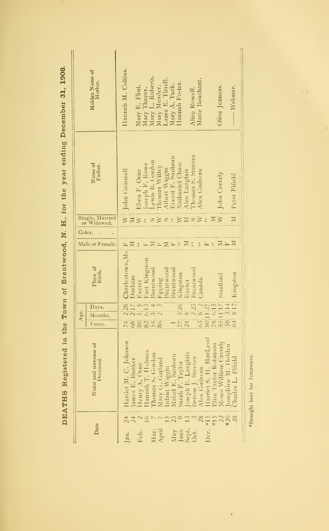|                                   |                                  |                                 | Age.             |                    |                |                                |                                    |                                                                       |
|-----------------------------------|----------------------------------|---------------------------------|------------------|--------------------|----------------|--------------------------------|------------------------------------|-----------------------------------------------------------------------|
| Date                              | Name and surname of<br>Deceased. | <b>Years</b>                    | Days.<br>Months. | Place of<br>Birth, | Male or Female | Single, Married<br>or Widowed. | Name of<br>Father.                 | Maiden Name of<br>Mother.                                             |
| Jan.                              | Harriet M. C. Johnson            |                                 | 2 28             | Charlestown, Ms    | E              | $\geq$                         | John Gammell                       | Hannah M. Collins.                                                    |
|                                   | James E. Bunker                  | $rac{1}{50}$                    | 17               | Durham             |                |                                |                                    |                                                                       |
| $\overline{c}$<br>Feb             | Henry A. Orne                    | 8858                            |                  | <b>F</b> , xeter   |                | $\geq$                         | Elen F. Orne                       | Mary E. Flint.                                                        |
|                                   | Hanuah T. Holmes                 |                                 | 6 13             | East Kingston      |                |                                | Joseph F. Rowe                     | Mary Thayer.<br>Mary L. Roberts.<br>Mary Meader.<br>Laura E. Tirrell. |
| Mar.                              | Fhomas S. Gordon                 |                                 |                  | Brentwood          |                |                                | Lewis B. Gordon                    |                                                                       |
| $\overline{\phantom{0}}$<br>April | Mary G. Garland                  |                                 |                  | Epping             |                |                                | Thomas Willey                      |                                                                       |
|                                   | Infant Wiggin                    |                                 |                  | <b>Brentwood</b>   |                |                                | Albert Wiggin<br>Ernest F. Sanborn |                                                                       |
| May                               | Mabel E. Sanborn                 |                                 |                  | Brentwood          |                |                                |                                    | Mary A. Tuck.                                                         |
|                                   | Sarah F. Taylor                  | 77                              | 526              | Kingston           |                |                                | Nathaniel Chase                    | lannah Foster                                                         |
| $\Box$<br>June<br>Sept.<br>Oct.   | Joseph E. Langlais               | 24                              |                  | Exeter             |                | Ξ                              | Alee Langlais                      |                                                                       |
|                                   | Berton L. Steeves                |                                 | 2 23             | Brentwood          |                |                                | Thomas S. Steeves                  | Alice Rowell.                                                         |
|                                   | Alex Gudreau                     | 63                              |                  | Canada             |                | $\geq$                         | Alex Gudreau                       | Marie Bouchant.                                                       |
| $51*$<br>Dec.                     | Harriet S. H. MacLeod            | 80 11 27                        |                  |                    |                | d.                             |                                    |                                                                       |
| $51*$                             | Eliza Taylor Robinson            |                                 |                  |                    |                |                                |                                    |                                                                       |
|                                   | Moses William Caverly            | 78 6 15<br>85 11 117<br>50 3 14 |                  | Strafford          |                | $\overline{\mathbf{y}}$        | John Caverly                       | Olive Jenness.                                                        |
| 228                               | osephine M. Holden               |                                 |                  |                    |                |                                |                                    |                                                                       |
|                                   | Charles L. Fifield               | 64                              | 817              | Kingston           | $\Sigma$       | $\overline{M}$                 | Peter Fifield                      | — Webster.                                                            |
|                                   |                                  |                                 |                  |                    |                |                                |                                    |                                                                       |

DEATHS Registered in the Town of Brentwood, N. H., for the year ending December 31, 1908.

\*Brought here for Interment.

×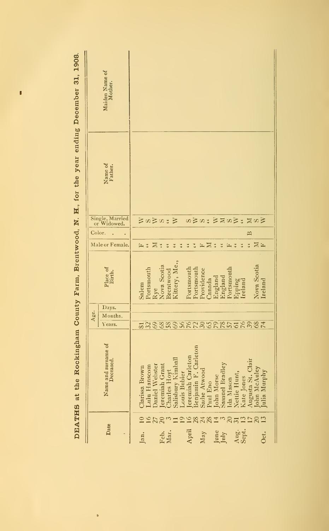| Maiden Name of<br>Mother,        |                                                                                                                                                                                                                                                                                                                                 |
|----------------------------------|---------------------------------------------------------------------------------------------------------------------------------------------------------------------------------------------------------------------------------------------------------------------------------------------------------------------------------|
| Name of<br>Father.               |                                                                                                                                                                                                                                                                                                                                 |
| Single, Married<br>or Widowed.   | $\geq$ $\geq$ $\leq$ $\leq$<br>$\leqslant$ $\approx$<br>≥ທ≲α:<br>$\geqslant$<br>ທ≥ທະ                                                                                                                                                                                                                                            |
| Color.                           | $\mathbf{B}$                                                                                                                                                                                                                                                                                                                    |
| Male or Female.                  | $\Xi$ E<br>$\boxtimes$<br><b>EN:</b><br>J,<br>$\ddot{\phantom{0}}$<br>$\ddot{\bullet}$<br>$\ddot{\phantom{0}}$<br>$\ddot{\cdot}$<br>$\ddot{\phantom{0}}$<br>ă<br>٤ŧ<br>$\ddot{\phantom{0}}$<br>江。<br>E<br>$\frac{1}{2}$                                                                                                         |
| Place of<br>Birth.               | Kittery, Me.,<br>Nova Scotia<br>Rye<br>Nova Scotia<br>Portsmouth<br>3rentwood<br>Salem<br>Portsmouth<br>Portsmouth<br>England<br>England<br>Portsmouth<br>Providence<br>Ireland<br>Canada<br>Epping<br>Ireland                                                                                                                  |
| Days.                            |                                                                                                                                                                                                                                                                                                                                 |
| Age.<br>Months.<br>ears.         |                                                                                                                                                                                                                                                                                                                                 |
|                                  | 8388xxx89xxx5x88x<br>528                                                                                                                                                                                                                                                                                                        |
| Name and surname of<br>Deceased. | Jeremiah Carleton<br>Benjamin F. Carleton<br>Sadie Atwood<br>Salisbury Kimball<br>Louis Bubier<br>Kate Jones<br>Augusta St. Clair<br>Daniel Webster<br>Jeremiah Grant<br>Charles Hoyt<br>John Morse<br>Samuel Bradley<br>Clarissa Brown<br>Alu Hanscom<br>John McAuley<br>Julia Murphy<br>Nettie Hunt,<br>Ida Mason<br>Paul Eno |
|                                  | 1823<br>$\overline{19}$<br>nazioni<br>$\overline{20}$<br>13<br>$\overline{10}$<br>16<br>27<br>20<br>$\Box$                                                                                                                                                                                                                      |
| Date                             | April<br>Aug.<br>Sept.<br>June<br>May<br>Jan.<br>Feb.<br>Mar.<br>Oct.                                                                                                                                                                                                                                                           |

DEATHS at the Rockingham County Farm, Brentwood, N. H., for the year ending December 31, 1908.

.

 $\mathbf{r}$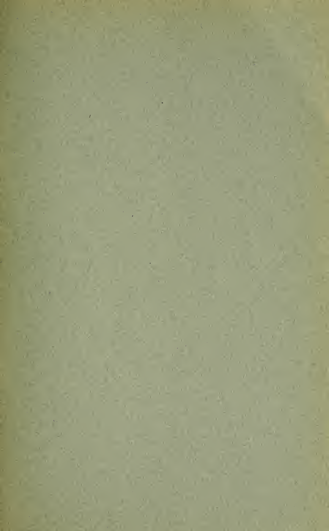